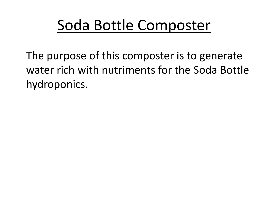## Soda Bottle Composter

The purpose of this composter is to generate water rich with nutriments for the Soda Bottle hydroponics.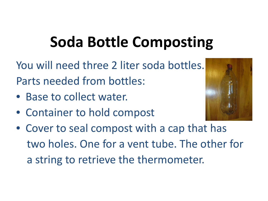## **Soda Bottle Composting**

You will need three 2 liter soda bottles. Parts needed from bottles:

- Base to collect water.
- Container to hold compost



• Cover to seal compost with a cap that has two holes. One for a vent tube. The other for a string to retrieve the thermometer.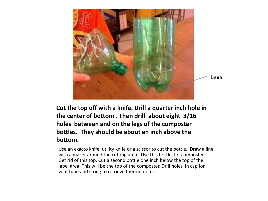

**Cut the top off with a knife. Drill a quarter inch hole in the center of bottom . Then drill about eight 3/16 holes between and on the legs of the composter bottles. They should be about an inch above the bottom.**

Use an exacto knife, utility knife or a scissor to cut the bottle. Draw a line with a maker around the cutting area. Use this bottle for composter. Get rid of this top. Cut a second bottle one inch below the top of the label area. This will be the top of the composter. Drill holes in cap for vent tube and string to retrieve thermometer.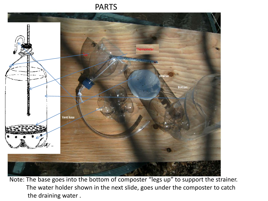## PARTS



Note: The base goes into the bottom of composter "legs up" to support the strainer. The water holder shown in the next slide, goes under the composter to catch the draining water .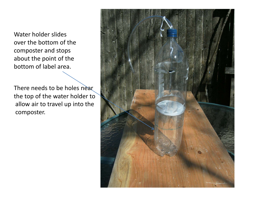Water holder slides over the bottom of the composter and stops about the point of the bottom of label area.

There needs to be holes near the top of the water holder to allow air to travel up into the composter.

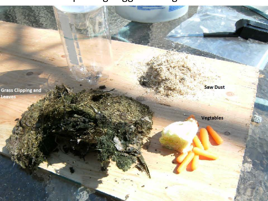## Co post g suggested g ed e ts

**Grass Clipping and** Leaves

Saw Dust

Vegtables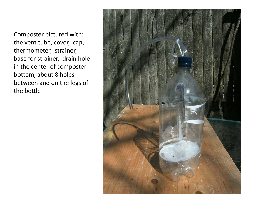Composter pictured with: the vent tube, cover, cap, thermometer, strainer, base for strainer, drain hole in the center of composter bottom, about 8 holes between and on the legs of the bottle

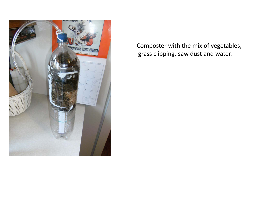

Composter with the mix of vegetables, grass clipping, saw dust and water.